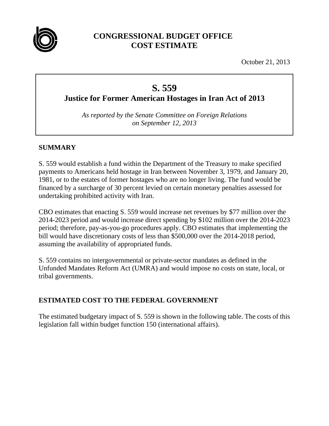

## **CONGRESSIONAL BUDGET OFFICE COST ESTIMATE**

October 21, 2013

# **S. 559**

**Justice for Former American Hostages in Iran Act of 2013** 

*As reported by the Senate Committee on Foreign Relations on September 12, 2013* 

## **SUMMARY**

S. 559 would establish a fund within the Department of the Treasury to make specified payments to Americans held hostage in Iran between November 3, 1979, and January 20, 1981, or to the estates of former hostages who are no longer living. The fund would be financed by a surcharge of 30 percent levied on certain monetary penalties assessed for undertaking prohibited activity with Iran.

CBO estimates that enacting S. 559 would increase net revenues by \$77 million over the 2014-2023 period and would increase direct spending by \$102 million over the 2014-2023 period; therefore, pay-as-you-go procedures apply. CBO estimates that implementing the bill would have discretionary costs of less than \$500,000 over the 2014-2018 period, assuming the availability of appropriated funds.

S. 559 contains no intergovernmental or private-sector mandates as defined in the Unfunded Mandates Reform Act (UMRA) and would impose no costs on state, local, or tribal governments.

## **ESTIMATED COST TO THE FEDERAL GOVERNMENT**

The estimated budgetary impact of S. 559 is shown in the following table. The costs of this legislation fall within budget function 150 (international affairs).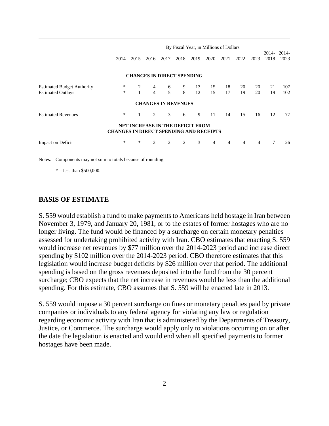|                                   | By Fiscal Year, in Millions of Dollars         |              |                            |      |      |                                         |                |                |                |      |               |               |
|-----------------------------------|------------------------------------------------|--------------|----------------------------|------|------|-----------------------------------------|----------------|----------------|----------------|------|---------------|---------------|
|                                   | 2014                                           | 2015         | 2016                       | 2017 | 2018 | 2019                                    | 2020           | 2021           | 2022           | 2023 | 2014-<br>2018 | 2014-<br>2023 |
|                                   |                                                |              |                            |      |      | <b>CHANGES IN DIRECT SPENDING</b>       |                |                |                |      |               |               |
| <b>Estimated Budget Authority</b> | $\ast$                                         |              | 4                          | 6    | 9    | 13                                      | 15             | 18             | 20             | 20   | 21            | 107           |
| <b>Estimated Outlays</b>          | *                                              | $\mathbf{1}$ | $\overline{4}$             | 5    | 8    | 12                                      | 15             | 17             | 19             | 20   | 19            | 102           |
|                                   |                                                |              | <b>CHANGES IN REVENUES</b> |      |      |                                         |                |                |                |      |               |               |
| <b>Estimated Revenues</b>         | *                                              |              | 2                          | 3    | 6    | 9                                       | 11             | 14             | 15             | 16   | 12            | 77            |
|                                   | <b>CHANGES IN DIRECT SPENDING AND RECEIPTS</b> |              |                            |      |      | <b>NET INCREASE IN THE DEFICIT FROM</b> |                |                |                |      |               |               |
| <b>Impact on Deficit</b>          | *                                              | *            | $\overline{2}$             | 2    | 2    | 3                                       | $\overline{4}$ | $\overline{4}$ | $\overline{4}$ | 4    | $\tau$        | 26            |

 $* =$  less than \$500,000.

#### **BASIS OF ESTIMATE**

S. 559 would establish a fund to make payments to Americans held hostage in Iran between November 3, 1979, and January 20, 1981, or to the estates of former hostages who are no longer living. The fund would be financed by a surcharge on certain monetary penalties assessed for undertaking prohibited activity with Iran. CBO estimates that enacting S. 559 would increase net revenues by \$77 million over the 2014-2023 period and increase direct spending by \$102 million over the 2014-2023 period. CBO therefore estimates that this legislation would increase budget deficits by \$26 million over that period. The additional spending is based on the gross revenues deposited into the fund from the 30 percent surcharge; CBO expects that the net increase in revenues would be less than the additional spending. For this estimate, CBO assumes that S. 559 will be enacted late in 2013.

S. 559 would impose a 30 percent surcharge on fines or monetary penalties paid by private companies or individuals to any federal agency for violating any law or regulation regarding economic activity with Iran that is administered by the Departments of Treasury, Justice, or Commerce. The surcharge would apply only to violations occurring on or after the date the legislation is enacted and would end when all specified payments to former hostages have been made.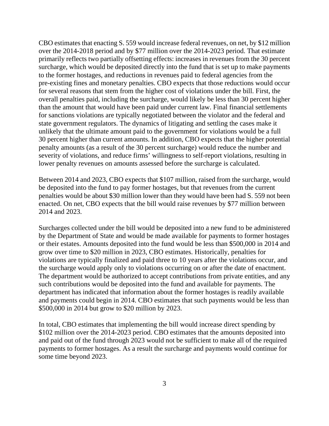CBO estimates that enacting S. 559 would increase federal revenues, on net, by \$12 million over the 2014-2018 period and by \$77 million over the 2014-2023 period. That estimate primarily reflects two partially offsetting effects: increases in revenues from the 30 percent surcharge, which would be deposited directly into the fund that is set up to make payments to the former hostages, and reductions in revenues paid to federal agencies from the pre-existing fines and monetary penalties. CBO expects that those reductions would occur for several reasons that stem from the higher cost of violations under the bill. First, the overall penalties paid, including the surcharge, would likely be less than 30 percent higher than the amount that would have been paid under current law. Final financial settlements for sanctions violations are typically negotiated between the violator and the federal and state government regulators. The dynamics of litigating and settling the cases make it unlikely that the ultimate amount paid to the government for violations would be a full 30 percent higher than current amounts. In addition, CBO expects that the higher potential penalty amounts (as a result of the 30 percent surcharge) would reduce the number and severity of violations, and reduce firms' willingness to self-report violations, resulting in lower penalty revenues on amounts assessed before the surcharge is calculated.

Between 2014 and 2023, CBO expects that \$107 million, raised from the surcharge, would be deposited into the fund to pay former hostages, but that revenues from the current penalties would be about \$30 million lower than they would have been had S. 559 not been enacted. On net, CBO expects that the bill would raise revenues by \$77 million between 2014 and 2023.

Surcharges collected under the bill would be deposited into a new fund to be administered by the Department of State and would be made available for payments to former hostages or their estates. Amounts deposited into the fund would be less than \$500,000 in 2014 and grow over time to \$20 million in 2023, CBO estimates. Historically, penalties for violations are typically finalized and paid three to 10 years after the violations occur, and the surcharge would apply only to violations occurring on or after the date of enactment. The department would be authorized to accept contributions from private entities, and any such contributions would be deposited into the fund and available for payments. The department has indicated that information about the former hostages is readily available and payments could begin in 2014. CBO estimates that such payments would be less than \$500,000 in 2014 but grow to \$20 million by 2023.

In total, CBO estimates that implementing the bill would increase direct spending by \$102 million over the 2014-2023 period. CBO estimates that the amounts deposited into and paid out of the fund through 2023 would not be sufficient to make all of the required payments to former hostages. As a result the surcharge and payments would continue for some time beyond 2023.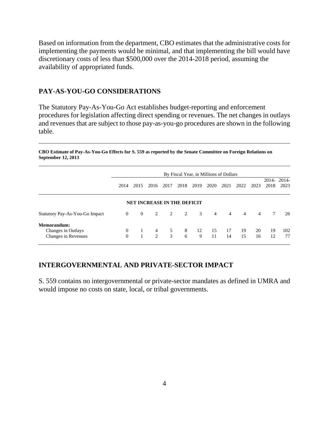Based on information from the department, CBO estimates that the administrative costs for implementing the payments would be minimal, and that implementing the bill would have discretionary costs of less than \$500,000 over the 2014-2018 period, assuming the availability of appropriated funds.

#### **PAY-AS-YOU-GO CONSIDERATIONS**

The Statutory Pay-As-You-Go Act establishes budget-reporting and enforcement procedures for legislation affecting direct spending or revenues. The net changes in outlays and revenues that are subject to those pay-as-you-go procedures are shown in the following table.

**CBO Estimate of Pay-As-You-Go Effects for S. 559 as reported by the Senate Committee on Foreign Relations on September 12, 2013** 

|                                                          | By Fiscal Year, in Millions of Dollars |                |                                    |        |        |         |                |                |                |                |                 |               |
|----------------------------------------------------------|----------------------------------------|----------------|------------------------------------|--------|--------|---------|----------------|----------------|----------------|----------------|-----------------|---------------|
|                                                          | 2014                                   | 2015           | 2016                               | 2017   | 2018   | 2019    | 2020           | 2021           | 2022           | 2023           | 2014-<br>2018   | 2014-<br>2023 |
|                                                          |                                        |                | <b>NET INCREASE IN THE DEFICIT</b> |        |        |         |                |                |                |                |                 |               |
| Statutory Pay-As-You-Go Impact                           | $\theta$                               | $\overline{0}$ | 2                                  | 2      | 2      | 3       | $\overline{4}$ | $\overline{4}$ | $\overline{4}$ | $\overline{4}$ | $7\phantom{.0}$ | 26            |
| Memorandum:<br>Changes in Outlays<br>Changes in Revenues | $\theta$<br>$\theta$                   |                | 4<br>$\mathfrak{D}$                | 5<br>3 | 8<br>6 | 12<br>9 | 15<br>11       | -17<br>14      | 19<br>15       | 20<br>16       | 19<br>12        | 102<br>77     |

#### **INTERGOVERNMENTAL AND PRIVATE-SECTOR IMPACT**

S. 559 contains no intergovernmental or private-sector mandates as defined in UMRA and would impose no costs on state, local, or tribal governments.